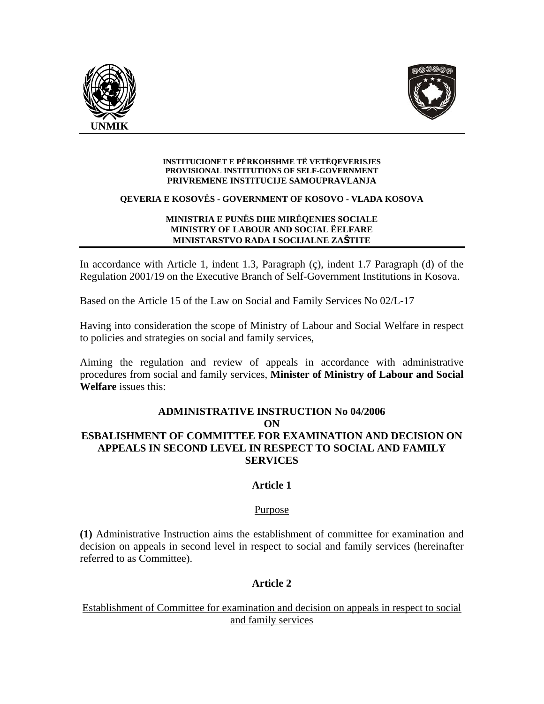



#### **INSTITUCIONET E PËRKOHSHME TË VETËQEVERISJES PROVISIONAL INSTITUTIONS OF SELF-GOVERNMENT PRIVREMENE INSTITUCIJE SAMOUPRAVLANJA**

#### **QEVERIA E KOSOVËS - GOVERNMENT OF KOSOVO - VLADA KOSOVA**

#### **MINISTRIA E PUNËS DHE MIRËQENIES SOCIALE MINISTRY OF LABOUR AND SOCIAL ËELFARE MINISTARSTVO RADA I SOCIJALNE ZAŠTITE**

In accordance with Article 1, indent 1.3, Paragraph (ç), indent 1.7 Paragraph (d) of the Regulation 2001/19 on the Executive Branch of Self-Government Institutions in Kosova.

Based on the Article 15 of the Law on Social and Family Services No 02/L-17

Having into consideration the scope of Ministry of Labour and Social Welfare in respect to policies and strategies on social and family services,

Aiming the regulation and review of appeals in accordance with administrative procedures from social and family services, **Minister of Ministry of Labour and Social Welfare** issues this:

### **ADMINISTRATIVE INSTRUCTION No 04/2006 ON ESBALISHMENT OF COMMITTEE FOR EXAMINATION AND DECISION ON APPEALS IN SECOND LEVEL IN RESPECT TO SOCIAL AND FAMILY SERVICES**

### **Article 1**

#### Purpose

**(1)** Administrative Instruction aims the establishment of committee for examination and decision on appeals in second level in respect to social and family services (hereinafter referred to as Committee).

# **Article 2**

Establishment of Committee for examination and decision on appeals in respect to social and family services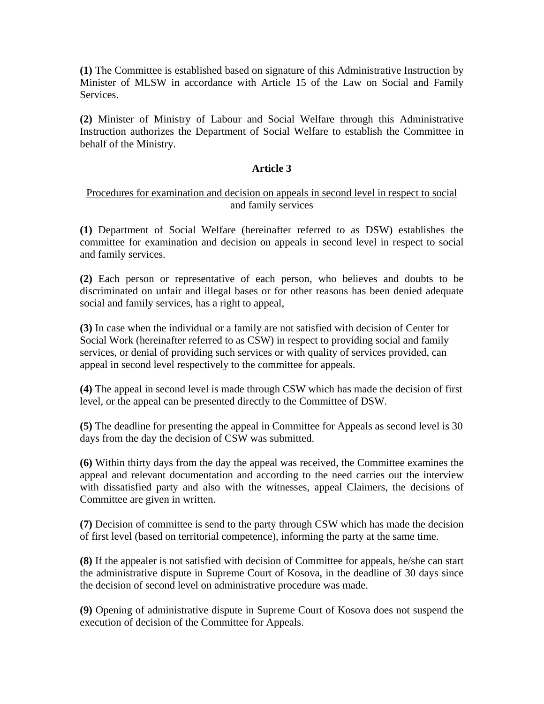**(1)** The Committee is established based on signature of this Administrative Instruction by Minister of MLSW in accordance with Article 15 of the Law on Social and Family Services.

**(2)** Minister of Ministry of Labour and Social Welfare through this Administrative Instruction authorizes the Department of Social Welfare to establish the Committee in behalf of the Ministry.

### **Article 3**

### Procedures for examination and decision on appeals in second level in respect to social and family services

**(1)** Department of Social Welfare (hereinafter referred to as DSW) establishes the committee for examination and decision on appeals in second level in respect to social and family services.

**(2)** Each person or representative of each person, who believes and doubts to be discriminated on unfair and illegal bases or for other reasons has been denied adequate social and family services, has a right to appeal,

**(3)** In case when the individual or a family are not satisfied with decision of Center for Social Work (hereinafter referred to as CSW) in respect to providing social and family services, or denial of providing such services or with quality of services provided, can appeal in second level respectively to the committee for appeals.

**(4)** The appeal in second level is made through CSW which has made the decision of first level, or the appeal can be presented directly to the Committee of DSW.

**(5)** The deadline for presenting the appeal in Committee for Appeals as second level is 30 days from the day the decision of CSW was submitted.

**(6)** Within thirty days from the day the appeal was received, the Committee examines the appeal and relevant documentation and according to the need carries out the interview with dissatisfied party and also with the witnesses, appeal Claimers, the decisions of Committee are given in written.

**(7)** Decision of committee is send to the party through CSW which has made the decision of first level (based on territorial competence), informing the party at the same time.

**(8)** If the appealer is not satisfied with decision of Committee for appeals, he/she can start the administrative dispute in Supreme Court of Kosova, in the deadline of 30 days since the decision of second level on administrative procedure was made.

**(9)** Opening of administrative dispute in Supreme Court of Kosova does not suspend the execution of decision of the Committee for Appeals.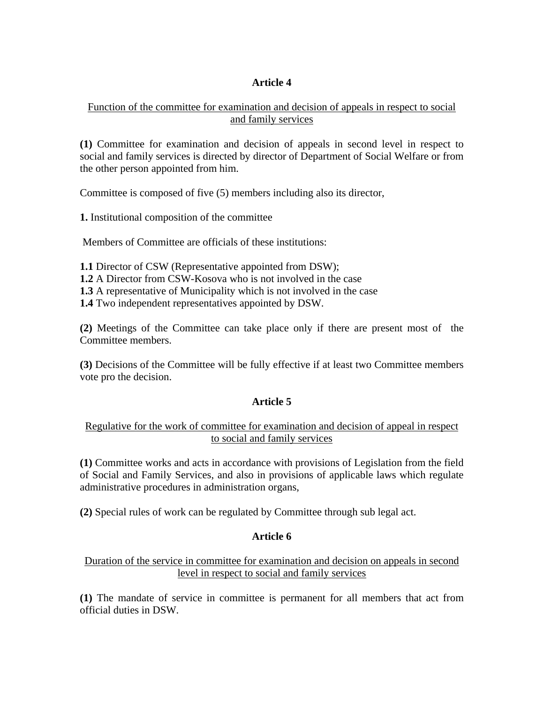# **Article 4**

### Function of the committee for examination and decision of appeals in respect to social and family services

**(1)** Committee for examination and decision of appeals in second level in respect to social and family services is directed by director of Department of Social Welfare or from the other person appointed from him.

Committee is composed of five (5) members including also its director,

**1.** Institutional composition of the committee

Members of Committee are officials of these institutions:

**1.1** Director of CSW (Representative appointed from DSW);

**1.2** A Director from CSW-Kosova who is not involved in the case

**1.3** A representative of Municipality which is not involved in the case

**1.4** Two independent representatives appointed by DSW.

**(2)** Meetings of the Committee can take place only if there are present most of the Committee members.

**(3)** Decisions of the Committee will be fully effective if at least two Committee members vote pro the decision.

# **Article 5**

# Regulative for the work of committee for examination and decision of appeal in respect to social and family services

**(1)** Committee works and acts in accordance with provisions of Legislation from the field of Social and Family Services, and also in provisions of applicable laws which regulate administrative procedures in administration organs,

**(2)** Special rules of work can be regulated by Committee through sub legal act.

# **Article 6**

### Duration of the service in committee for examination and decision on appeals in second level in respect to social and family services

**(1)** The mandate of service in committee is permanent for all members that act from official duties in DSW.